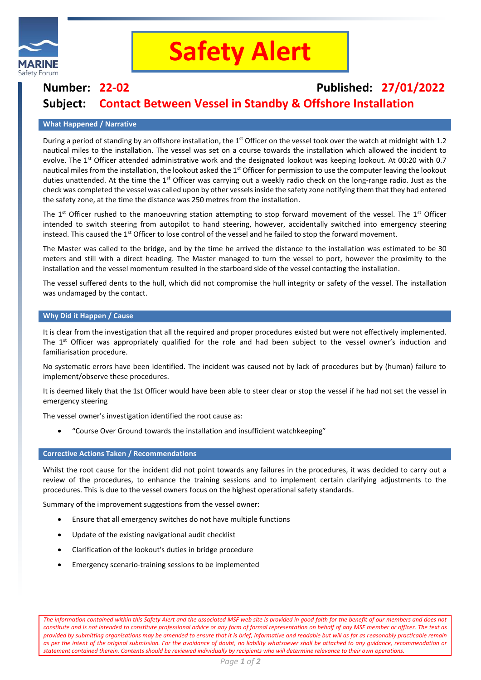

## **Safety Alert**

### **Number: 22-02 Published: 27/01/2022 Subject: Contact Between Vessel in Standby & Offshore Installation**

#### **What Happened / Narrative**

During a period of standing by an offshore installation, the 1<sup>st</sup> Officer on the vessel took over the watch at midnight with 1.2 nautical miles to the installation. The vessel was set on a course towards the installation which allowed the incident to evolve. The  $1<sup>st</sup>$  Officer attended administrative work and the designated lookout was keeping lookout. At 00:20 with 0.7 nautical miles from the installation, the lookout asked the 1<sup>st</sup> Officer for permission to use the computer leaving the lookout duties unattended. At the time the  $1<sup>st</sup>$  Officer was carrying out a weekly radio check on the long-range radio. Just as the check was completed the vessel was called upon by other vessels inside the safety zone notifying them that they had entered the safety zone, at the time the distance was 250 metres from the installation.

The  $1<sup>st</sup>$  Officer rushed to the manoeuvring station attempting to stop forward movement of the vessel. The  $1<sup>st</sup>$  Officer intended to switch steering from autopilot to hand steering, however, accidentally switched into emergency steering instead. This caused the 1<sup>st</sup> Officer to lose control of the vessel and he failed to stop the forward movement.

The Master was called to the bridge, and by the time he arrived the distance to the installation was estimated to be 30 meters and still with a direct heading. The Master managed to turn the vessel to port, however the proximity to the installation and the vessel momentum resulted in the starboard side of the vessel contacting the installation.

The vessel suffered dents to the hull, which did not compromise the hull integrity or safety of the vessel. The installation was undamaged by the contact.

#### **Why Did it Happen / Cause**

It is clear from the investigation that all the required and proper procedures existed but were not effectively implemented. The  $1<sup>st</sup>$  Officer was appropriately qualified for the role and had been subject to the vessel owner's induction and familiarisation procedure.

No systematic errors have been identified. The incident was caused not by lack of procedures but by (human) failure to implement/observe these procedures.

It is deemed likely that the 1st Officer would have been able to steer clear or stop the vessel if he had not set the vessel in emergency steering

The vessel owner's investigation identified the root cause as:

• "Course Over Ground towards the installation and insufficient watchkeeping"

#### **Corrective Actions Taken / Recommendations**

Whilst the root cause for the incident did not point towards any failures in the procedures, it was decided to carry out a review of the procedures, to enhance the training sessions and to implement certain clarifying adjustments to the procedures. This is due to the vessel owners focus on the highest operational safety standards.

Summary of the improvement suggestions from the vessel owner:

- Ensure that all emergency switches do not have multiple functions
- Update of the existing navigational audit checklist
- Clarification of the lookout's duties in bridge procedure
- Emergency scenario-training sessions to be implemented

*The information contained within this Safety Alert and the associated MSF web site is provided in good faith for the benefit of our members and does not constitute and is not intended to constitute professional advice or any form of formal representation on behalf of any MSF member or officer. The text as provided by submitting organisations may be amended to ensure that it is brief, informative and readable but will as far as reasonably practicable remain as per the intent of the original submission. For the avoidance of doubt, no liability whatsoever shall be attached to any guidance, recommendation or statement contained therein. Contents should be reviewed individually by recipients who will determine relevance to their own operations.*